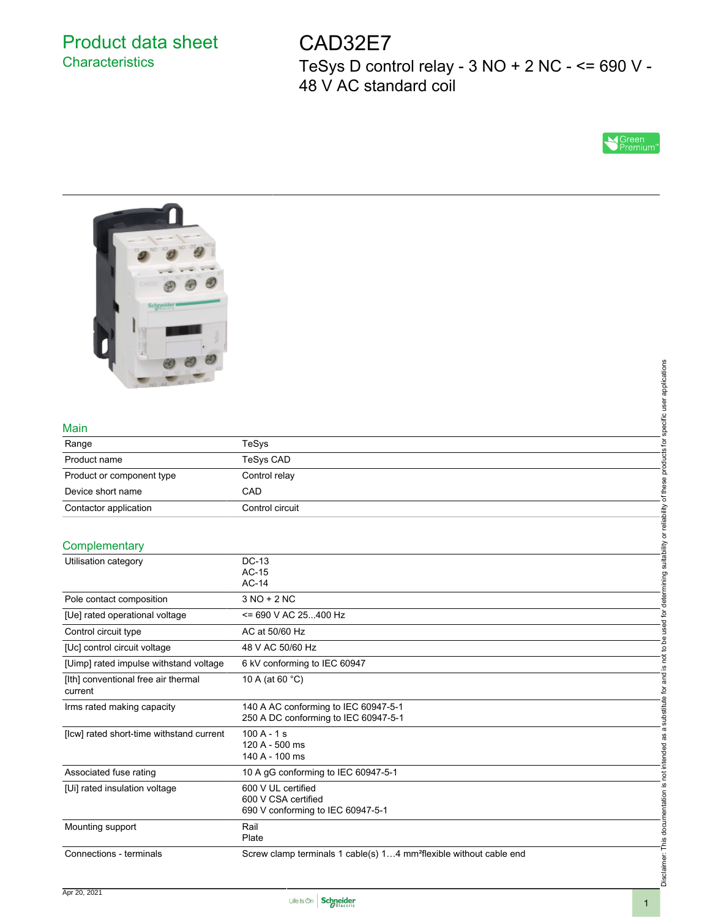# Product data sheet **Characteristics**

CAD32E7 TeSys D control relay - 3 NO + 2 NC - <= 690 V - 48 V AC standard coil





#### Main

| NO 44 NO 04 NO            |                 | applications     |
|---------------------------|-----------------|------------------|
| Main                      |                 | pecific          |
| Range                     | <b>TeSys</b>    | 호                |
| Product name              | TeSys CAD       | ಕ                |
| Product or component type | Control relay   |                  |
| Device short name         | CAD             |                  |
| Contactor application     | Control circuit | eliability       |
| Complementary             |                 | ਨ                |
| Utilisation category      | DC-13<br>AC-15  | suitability<br>g |

|                                                                                | specific user applications                                                                                                                           |
|--------------------------------------------------------------------------------|------------------------------------------------------------------------------------------------------------------------------------------------------|
|                                                                                |                                                                                                                                                      |
|                                                                                |                                                                                                                                                      |
|                                                                                |                                                                                                                                                      |
| TeSys                                                                          | products for                                                                                                                                         |
| <b>TeSys CAD</b>                                                               |                                                                                                                                                      |
| Control relay                                                                  |                                                                                                                                                      |
| CAD                                                                            |                                                                                                                                                      |
| Control circuit                                                                |                                                                                                                                                      |
|                                                                                |                                                                                                                                                      |
|                                                                                | is not to be used for determining suitability or reliability of these                                                                                |
| <b>DC-13</b>                                                                   |                                                                                                                                                      |
|                                                                                |                                                                                                                                                      |
|                                                                                |                                                                                                                                                      |
|                                                                                |                                                                                                                                                      |
|                                                                                |                                                                                                                                                      |
|                                                                                |                                                                                                                                                      |
|                                                                                |                                                                                                                                                      |
|                                                                                |                                                                                                                                                      |
|                                                                                |                                                                                                                                                      |
| 140 A AC conforming to IEC 60947-5-1<br>250 A DC conforming to IEC 60947-5-1   |                                                                                                                                                      |
| $100A - 1s$<br>120 A - 500 ms<br>140 A - 100 ms                                | Disclaimer: This documentation is not intended as a substitute for and                                                                               |
| 10 A gG conforming to IEC 60947-5-1                                            |                                                                                                                                                      |
| 600 V UL certified<br>600 V CSA certified<br>690 V conforming to IEC 60947-5-1 |                                                                                                                                                      |
| Rail<br>Plate                                                                  |                                                                                                                                                      |
| Screw clamp terminals 1 cable(s) 14 mm <sup>2</sup> flexible without cable end |                                                                                                                                                      |
|                                                                                | $AC-15$<br>$AC-14$<br>$3 NO + 2 NC$<br><= 690 V AC 25400 Hz<br>AC at 50/60 Hz<br>48 V AC 50/60 Hz<br>6 kV conforming to IEC 60947<br>10 A (at 60 °C) |

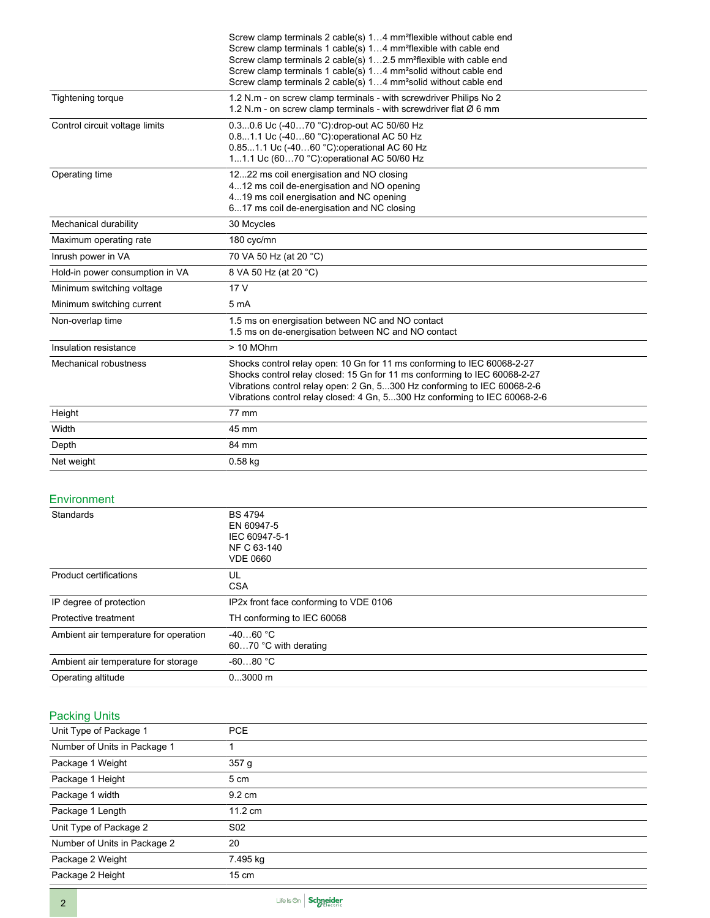|                                 | Screw clamp terminals 2 cable(s) 14 mm <sup>2</sup> flexible without cable end                                                                               |  |
|---------------------------------|--------------------------------------------------------------------------------------------------------------------------------------------------------------|--|
|                                 | Screw clamp terminals 1 cable(s) 14 mm <sup>2</sup> flexible with cable end<br>Screw clamp terminals 2 cable(s) 12.5 mm <sup>2</sup> flexible with cable end |  |
|                                 | Screw clamp terminals 1 cable(s) 14 mm <sup>2</sup> solid without cable end                                                                                  |  |
|                                 | Screw clamp terminals 2 cable(s) 14 mm <sup>2</sup> solid without cable end                                                                                  |  |
| Tightening torque               | 1.2 N.m - on screw clamp terminals - with screwdriver Philips No 2                                                                                           |  |
|                                 | 1.2 N.m - on screw clamp terminals - with screwdriver flat $\varnothing$ 6 mm                                                                                |  |
| Control circuit voltage limits  | 0.30.6 Uc (-4070 °C):drop-out AC 50/60 Hz                                                                                                                    |  |
|                                 | 0.81.1 Uc (-4060 °C) operational AC 50 Hz<br>0.851.1 Uc (-4060 °C) operational AC 60 Hz                                                                      |  |
|                                 | 11.1 Uc (6070 °C): operational AC 50/60 Hz                                                                                                                   |  |
| Operating time                  | 1222 ms coil energisation and NO closing                                                                                                                     |  |
|                                 | 412 ms coil de-energisation and NO opening                                                                                                                   |  |
|                                 | 419 ms coil energisation and NC opening                                                                                                                      |  |
|                                 | 617 ms coil de-energisation and NC closing                                                                                                                   |  |
| Mechanical durability           | 30 Mcycles                                                                                                                                                   |  |
| Maximum operating rate          | 180 cyc/mn                                                                                                                                                   |  |
| Inrush power in VA              | 70 VA 50 Hz (at 20 °C)                                                                                                                                       |  |
| Hold-in power consumption in VA | 8 VA 50 Hz (at 20 °C)                                                                                                                                        |  |
| Minimum switching voltage       | 17 <sub>V</sub>                                                                                                                                              |  |
| Minimum switching current       | 5 <sub>m</sub> A                                                                                                                                             |  |
| Non-overlap time                | 1.5 ms on energisation between NC and NO contact                                                                                                             |  |
|                                 | 1.5 ms on de-energisation between NC and NO contact                                                                                                          |  |
| Insulation resistance           | > 10 MOhm                                                                                                                                                    |  |
| Mechanical robustness           | Shocks control relay open: 10 Gn for 11 ms conforming to IEC 60068-2-27                                                                                      |  |
|                                 | Shocks control relay closed: 15 Gn for 11 ms conforming to IEC 60068-2-27                                                                                    |  |
|                                 | Vibrations control relay open: 2 Gn, 5300 Hz conforming to IEC 60068-2-6<br>Vibrations control relay closed: 4 Gn, 5300 Hz conforming to IEC 60068-2-6       |  |
|                                 |                                                                                                                                                              |  |
| Height                          | 77 mm                                                                                                                                                        |  |
| Width                           | 45 mm                                                                                                                                                        |  |
| Depth                           | 84 mm                                                                                                                                                        |  |
| Net weight                      | $0.58$ kg                                                                                                                                                    |  |

#### **Environment**

| Standards                             | <b>BS 4794</b><br>EN 60947-5<br>IEC 60947-5-1<br>NF C 63-140<br><b>VDE 0660</b> |
|---------------------------------------|---------------------------------------------------------------------------------|
| Product certifications                | UL<br><b>CSA</b>                                                                |
| IP degree of protection               | IP2x front face conforming to VDE 0106                                          |
| Protective treatment                  | TH conforming to IEC 60068                                                      |
| Ambient air temperature for operation | $-4060 °C$<br>6070 °C with derating                                             |
| Ambient air temperature for storage   | $-6080 °C$                                                                      |
| Operating altitude                    | $03000$ m                                                                       |

## Packing Units

| Unit Type of Package 1       | <b>PCE</b>       |
|------------------------------|------------------|
| Number of Units in Package 1 |                  |
| Package 1 Weight             | 357 g            |
| Package 1 Height             | 5 cm             |
| Package 1 width              | $9.2 \text{ cm}$ |
| Package 1 Length             | 11.2 cm          |
| Unit Type of Package 2       | S <sub>02</sub>  |
| Number of Units in Package 2 | 20               |
| Package 2 Weight             | 7.495 kg         |
| Package 2 Height             | $15 \text{ cm}$  |